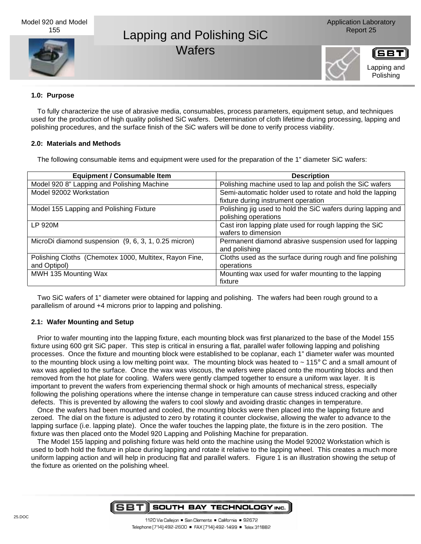# Lapping and Polishing SiC Report 25 **Wafers**



ISBT Lapping and Polishing

## **1.0: Purpose**

To fully characterize the use of abrasive media, consumables, process parameters, equipment setup, and techniques used for the production of high quality polished SiC wafers. Determination of cloth lifetime during processing, lapping and polishing procedures, and the surface finish of the SiC wafers will be done to verify process viability.

## **2.0: Materials and Methods**

The following consumable items and equipment were used for the preparation of the 1" diameter SiC wafers:

| <b>Equipment / Consumable Item</b>                     | <b>Description</b>                                           |
|--------------------------------------------------------|--------------------------------------------------------------|
| Model 920 8" Lapping and Polishing Machine             | Polishing machine used to lap and polish the SiC wafers      |
| Model 92002 Workstation                                | Semi-automatic holder used to rotate and hold the lapping    |
|                                                        | fixture during instrument operation                          |
| Model 155 Lapping and Polishing Fixture                | Polishing jig used to hold the SiC wafers during lapping and |
|                                                        | polishing operations                                         |
| LP 920M                                                | Cast iron lapping plate used for rough lapping the SiC       |
|                                                        | wafers to dimension                                          |
| MicroDi diamond suspension (9, 6, 3, 1, 0.25 micron)   | Permanent diamond abrasive suspension used for lapping       |
|                                                        | and polishing                                                |
| Polishing Cloths (Chemotex 1000, Multitex, Rayon Fine, | Cloths used as the surface during rough and fine polishing   |
| and Optipol)                                           | operations                                                   |
| MWH 135 Mounting Wax                                   | Mounting wax used for wafer mounting to the lapping          |
|                                                        | fixture                                                      |

Two SiC wafers of 1" diameter were obtained for lapping and polishing. The wafers had been rough ground to a parallelism of around +4 microns prior to lapping and polishing.

# **2.1: Wafer Mounting and Setup**

Prior to wafer mounting into the lapping fixture, each mounting block was first planarized to the base of the Model 155 fixture using 600 grit SiC paper. This step is critical in ensuring a flat, parallel wafer following lapping and polishing processes. Once the fixture and mounting block were established to be coplanar, each 1" diameter wafer was mounted to the mounting block using a low melting point wax. The mounting block was heated to  $\sim$  115 $\degree$  C and a small amount of wax was applied to the surface. Once the wax was viscous, the wafers were placed onto the mounting blocks and then removed from the hot plate for cooling. Wafers were gently clamped together to ensure a uniform wax layer. It is important to prevent the wafers from experiencing thermal shock or high amounts of mechanical stress, especially following the polishing operations where the intense change in temperature can cause stress induced cracking and other defects. This is prevented by allowing the wafers to cool slowly and avoiding drastic changes in temperature.

Once the wafers had been mounted and cooled, the mounting blocks were then placed into the lapping fixture and zeroed. The dial on the fixture is adjusted to zero by rotating it counter clockwise, allowing the wafer to advance to the lapping surface (i.e. lapping plate). Once the wafer touches the lapping plate, the fixture is in the zero position. The fixture was then placed onto the Model 920 Lapping and Polishing Machine for preparation.

The Model 155 lapping and polishing fixture was held onto the machine using the Model 92002 Workstation which is used to both hold the fixture in place during lapping and rotate it relative to the lapping wheel. This creates a much more uniform lapping action and will help in producing flat and parallel wafers. Figure 1 is an illustration showing the setup of the fixture as oriented on the polishing wheel.

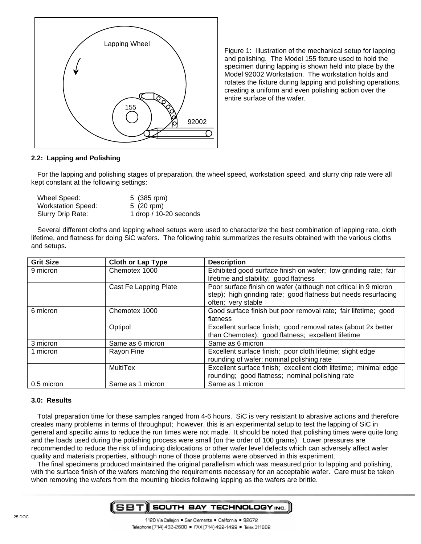

Figure 1: Illustration of the mechanical setup for lapping and polishing. The Model 155 fixture used to hold the specimen during lapping is shown held into place by the Model 92002 Workstation. The workstation holds and rotates the fixture during lapping and polishing operations, creating a uniform and even polishing action over the entire surface of the wafer.

## **2.2: Lapping and Polishing**

For the lapping and polishing stages of preparation, the wheel speed, workstation speed, and slurry drip rate were all kept constant at the following settings:

| Wheel Speed:              | 5 (385 rpm)            |
|---------------------------|------------------------|
| <b>Workstation Speed:</b> | 5 $(20$ rpm)           |
| Slurry Drip Rate:         | 1 drop / 10-20 seconds |

Several different cloths and lapping wheel setups were used to characterize the best combination of lapping rate, cloth lifetime, and flatness for doing SiC wafers. The following table summarizes the results obtained with the various cloths and setups.

| <b>Grit Size</b> | <b>Cloth or Lap Type</b> | <b>Description</b>                                               |
|------------------|--------------------------|------------------------------------------------------------------|
| 9 micron         | Chemotex 1000            | Exhibited good surface finish on wafer; low grinding rate; fair  |
|                  |                          | lifetime and stability; good flatness                            |
|                  | Cast Fe Lapping Plate    | Poor surface finish on wafer (although not critical in 9 micron  |
|                  |                          | step); high grinding rate; good flatness but needs resurfacing   |
|                  |                          | often; very stable                                               |
| 6 micron         | Chemotex 1000            | Good surface finish but poor removal rate; fair lifetime; good   |
|                  |                          | flatness                                                         |
|                  | Optipol                  | Excellent surface finish; good removal rates (about 2x better    |
|                  |                          | than Chemotex); good flatness; excellent lifetime                |
| 3 micron         | Same as 6 micron         | Same as 6 micron                                                 |
| 1 micron         | Rayon Fine               | Excellent surface finish; poor cloth lifetime; slight edge       |
|                  |                          | rounding of wafer; nominal polishing rate                        |
|                  | <b>MultiTex</b>          | Excellent surface finish; excellent cloth lifetime; minimal edge |
|                  |                          | rounding; good flatness; nominal polishing rate                  |
| 0.5 micron       | Same as 1 micron         | Same as 1 micron                                                 |

#### **3.0: Results**

Total preparation time for these samples ranged from 4-6 hours. SiC is very resistant to abrasive actions and therefore creates many problems in terms of throughput; however, this is an experimental setup to test the lapping of SiC in general and specific aims to reduce the run times were not made. It should be noted that polishing times were quite long and the loads used during the polishing process were small (on the order of 100 grams). Lower pressures are recommended to reduce the risk of inducing dislocations or other wafer level defects which can adversely affect wafer quality and materials properties, although none of those problems were observed in this experiment.

The final specimens produced maintained the original parallelism which was measured prior to lapping and polishing, with the surface finish of the wafers matching the requirements necessary for an acceptable wafer. Care must be taken when removing the wafers from the mounting blocks following lapping as the wafers are brittle.